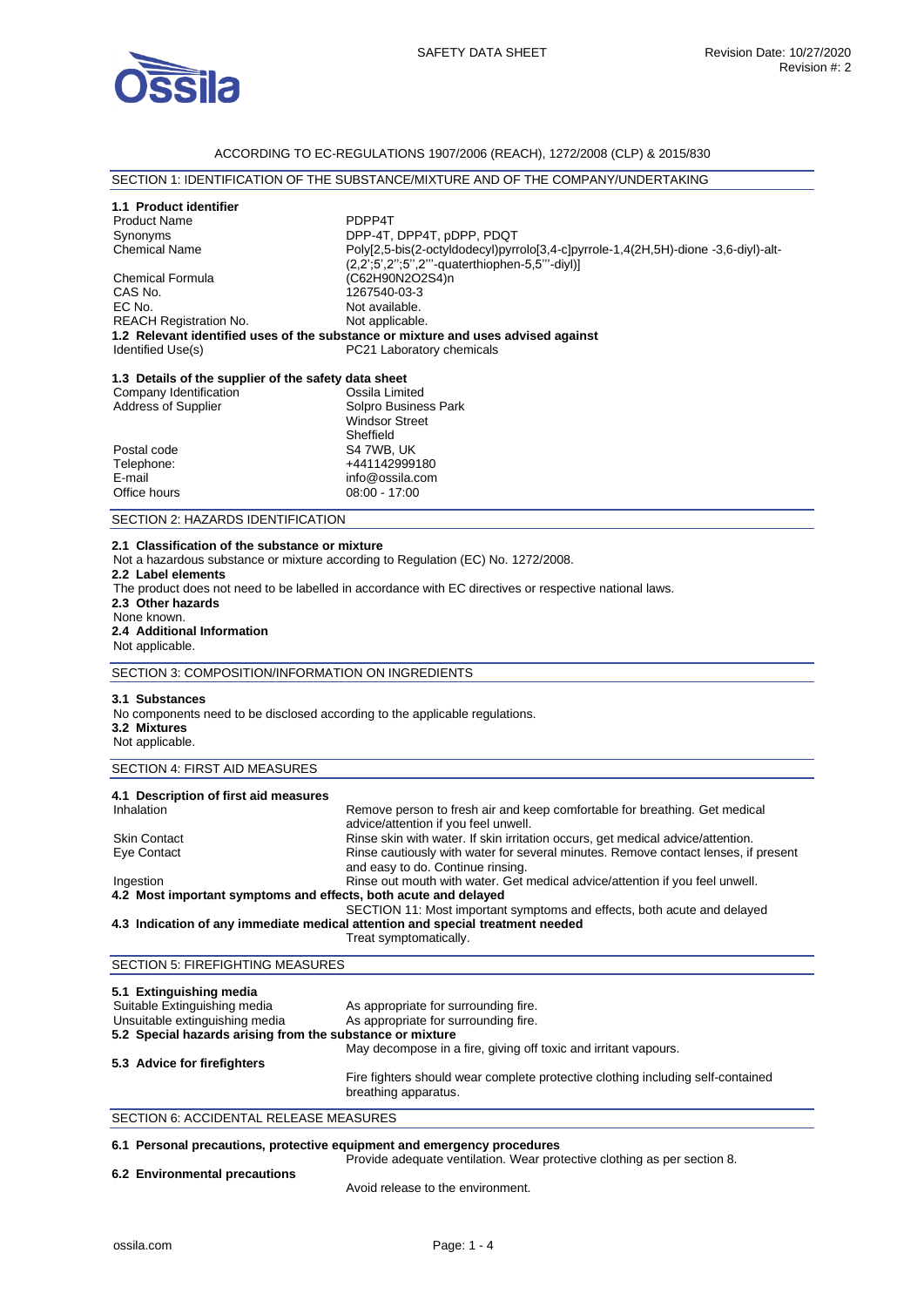

### ACCORDING TO EC-REGULATIONS 1907/2006 (REACH), 1272/2008 (CLP) & 2015/830

# SECTION 1: IDENTIFICATION OF THE SUBSTANCE/MIXTURE AND OF THE COMPANY/UNDERTAKING

### **1.1 Product identifier**

Product Name PDPP4T Synonyms DPP-4T, DPP4T, pDPP, PDQT<br>
Chemical Name Poly[2.5-bis(2-octyldodecyl)pyrr Poly[2,5-bis(2-octyldodecyl)pyrrolo[3,4-c]pyrrole-1,4(2H,5H)-dione -3,6-diyl)-alt- $(2,2^{\prime};5^{\prime},2^{\prime\prime};5^{\prime\prime},2^{\prime\prime\prime}$ -quaterthiophen-5,5 $^{\prime\prime\prime}$ -diyl)] Chemical Formula (C62H90N2O2S4)n<br>CAS No. 1267540-03-3 CAS No. 2007540-03-3<br>
FC No. 2007540-03-3<br>
Not available Not available. REACH Registration No. Not applicable. **1.2 Relevant identified uses of the substance or mixture and uses advised against**  PC21 Laboratory chemicals **1.3 Details of the supplier of the safety data sheet**

| <b>1.0</b> Details Of the supplier of the safety data sheet |                       |
|-------------------------------------------------------------|-----------------------|
| Company Identification                                      | Ossila Limited        |
| <b>Address of Supplier</b>                                  | Solpro Business Park  |
|                                                             | <b>Windsor Street</b> |
|                                                             | Sheffield             |
| Postal code                                                 | S4 7WB. UK            |
| Telephone:                                                  | +441142999180         |
| E-mail                                                      | info@ossila.com       |
| Office hours                                                | $08:00 - 17:00$       |
|                                                             |                       |

SECTION 2: HAZARDS IDENTIFICATION

### **2.1 Classification of the substance or mixture**

Not a hazardous substance or mixture according to Regulation (EC) No. 1272/2008.

**2.2 Label elements** 

The product does not need to be labelled in accordance with EC directives or respective national laws. **2.3 Other hazards**  None known. **2.4 Additional Information** 

# Not applicable.

SECTION 3: COMPOSITION/INFORMATION ON INGREDIENTS

#### **3.1 Substances**

No components need to be disclosed according to the applicable regulations. **3.2 Mixtures**  Not applicable.

### SECTION 4: FIRST AID MEASURES

| 4.1 Description of first aid measures                           |                                                                                                                         |
|-----------------------------------------------------------------|-------------------------------------------------------------------------------------------------------------------------|
| Inhalation                                                      | Remove person to fresh air and keep comfortable for breathing. Get medical<br>advice/attention if you feel unwell.      |
| <b>Skin Contact</b>                                             | Rinse skin with water. If skin irritation occurs, get medical advice/attention.                                         |
| Eye Contact                                                     | Rinse cautiously with water for several minutes. Remove contact lenses, if present<br>and easy to do. Continue rinsing. |
| Ingestion                                                       | Rinse out mouth with water. Get medical advice/attention if you feel unwell.                                            |
| 4.2 Most important symptoms and effects, both acute and delayed |                                                                                                                         |
|                                                                 | SECTION 11: Most important symptoms and effects, both acute and delayed                                                 |
|                                                                 | 4.3 Indication of any immediate medical attention and special treatment needed                                          |

### Treat symptomatically.

### SECTION 5: FIREFIGHTING MEASURES

| 5.1 Extinguishing media                                   |                                                                                                         |
|-----------------------------------------------------------|---------------------------------------------------------------------------------------------------------|
| Suitable Extinguishing media                              | As appropriate for surrounding fire.                                                                    |
| Unsuitable extinguishing media                            | As appropriate for surrounding fire.                                                                    |
| 5.2 Special hazards arising from the substance or mixture |                                                                                                         |
|                                                           | May decompose in a fire, giving off toxic and irritant vapours.                                         |
| 5.3 Advice for firefighters                               |                                                                                                         |
|                                                           | Fire fighters should wear complete protective clothing including self-contained<br>breathing apparatus. |

### SECTION 6: ACCIDENTAL RELEASE MEASURES

### **6.1 Personal precautions, protective equipment and emergency procedures**

Provide adequate ventilation. Wear protective clothing as per section 8.

#### **6.2 Environmental precautions**

Avoid release to the environment.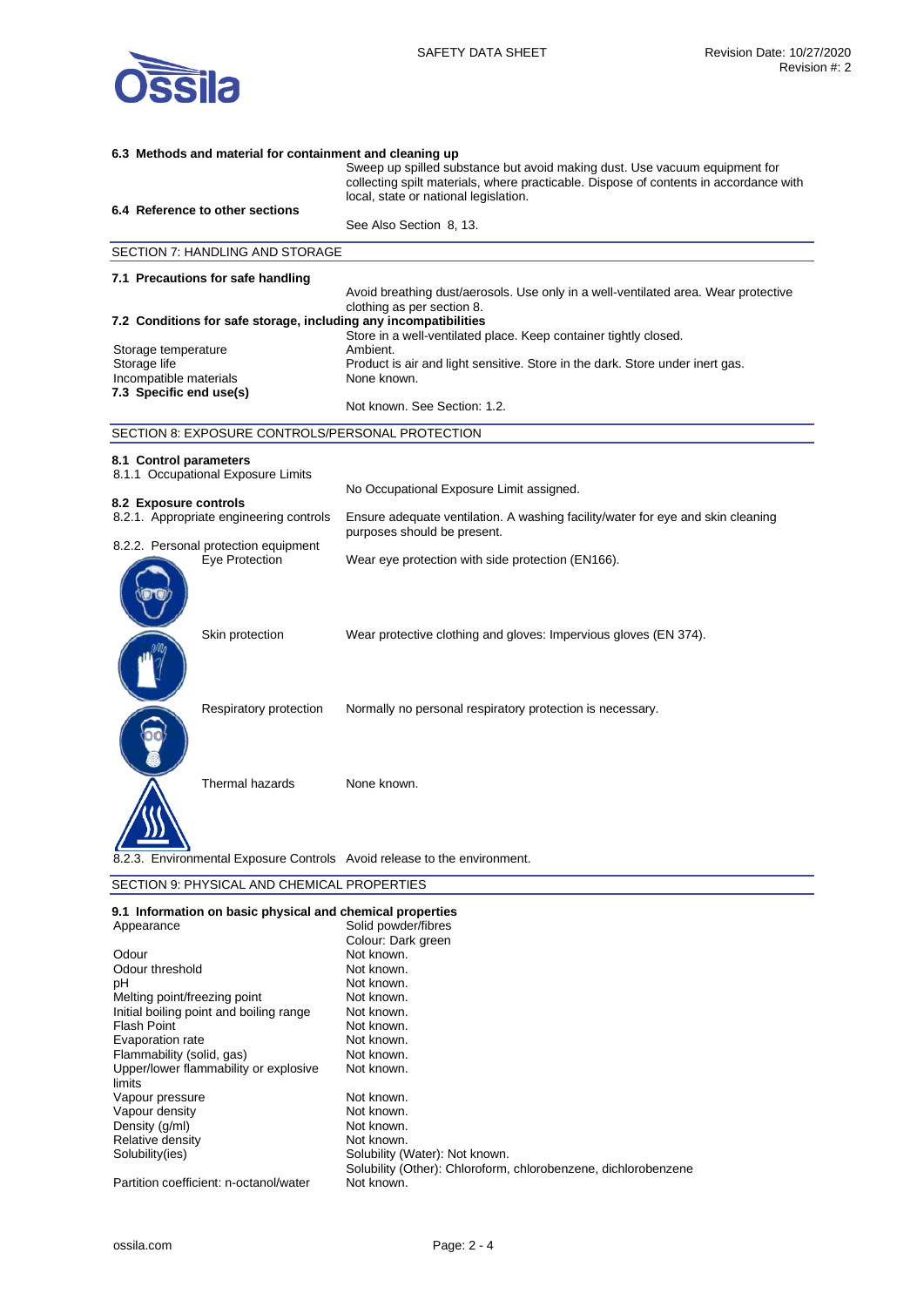

| 6.3 Methods and material for containment and cleaning up<br>6.4 Reference to other sections |                                                                   | Sweep up spilled substance but avoid making dust. Use vacuum equipment for<br>collecting spilt materials, where practicable. Dispose of contents in accordance with<br>local, state or national legislation. |  |
|---------------------------------------------------------------------------------------------|-------------------------------------------------------------------|--------------------------------------------------------------------------------------------------------------------------------------------------------------------------------------------------------------|--|
|                                                                                             |                                                                   | See Also Section 8, 13.                                                                                                                                                                                      |  |
|                                                                                             | SECTION 7: HANDLING AND STORAGE                                   |                                                                                                                                                                                                              |  |
|                                                                                             | 7.1 Precautions for safe handling                                 | Avoid breathing dust/aerosols. Use only in a well-ventilated area. Wear protective                                                                                                                           |  |
|                                                                                             | 7.2 Conditions for safe storage, including any incompatibilities  | clothing as per section 8.<br>Store in a well-ventilated place. Keep container tightly closed.                                                                                                               |  |
|                                                                                             | Storage temperature                                               | Ambient.                                                                                                                                                                                                     |  |
|                                                                                             | Storage life<br>Incompatible materials                            | Product is air and light sensitive. Store in the dark. Store under inert gas.<br>None known.                                                                                                                 |  |
|                                                                                             | 7.3 Specific end use(s)                                           | Not known. See Section: 1.2.                                                                                                                                                                                 |  |
|                                                                                             | SECTION 8: EXPOSURE CONTROLS/PERSONAL PROTECTION                  |                                                                                                                                                                                                              |  |
|                                                                                             | 8.1 Control parameters<br>8.1.1 Occupational Exposure Limits      | No Occupational Exposure Limit assigned.                                                                                                                                                                     |  |
|                                                                                             | 8.2 Exposure controls<br>8.2.1. Appropriate engineering controls  | Ensure adequate ventilation. A washing facility/water for eye and skin cleaning<br>purposes should be present.                                                                                               |  |
|                                                                                             | 8.2.2. Personal protection equipment<br>Eye Protection            | Wear eye protection with side protection (EN166).                                                                                                                                                            |  |
|                                                                                             | Skin protection                                                   | Wear protective clothing and gloves: Impervious gloves (EN 374).                                                                                                                                             |  |
|                                                                                             | Respiratory protection                                            | Normally no personal respiratory protection is necessary.                                                                                                                                                    |  |
|                                                                                             | Thermal hazards                                                   | None known.                                                                                                                                                                                                  |  |
|                                                                                             | Environmental Exposure Controls Avoid release to the environment. |                                                                                                                                                                                                              |  |
|                                                                                             | SECTION 9: PHYSICAL AND CHEMICAL PROPERTIES                       |                                                                                                                                                                                                              |  |
|                                                                                             | 9.1 Information on basic physical and chemical properties         |                                                                                                                                                                                                              |  |

| Appearance                              | Solid powder/fibres                                            |
|-----------------------------------------|----------------------------------------------------------------|
|                                         | Colour: Dark green                                             |
| Odour                                   | Not known.                                                     |
| Odour threshold                         | Not known.                                                     |
| рH                                      | Not known.                                                     |
| Melting point/freezing point            | Not known.                                                     |
| Initial boiling point and boiling range | Not known.                                                     |
| Flash Point                             | Not known.                                                     |
| Evaporation rate                        | Not known.                                                     |
| Flammability (solid, gas)               | Not known.                                                     |
| Upper/lower flammability or explosive   | Not known.                                                     |
| limits                                  |                                                                |
| Vapour pressure                         | Not known.                                                     |
| Vapour density                          | Not known.                                                     |
| Density (g/ml)                          | Not known.                                                     |
| Relative density                        | Not known.                                                     |
| Solubility(ies)                         | Solubility (Water): Not known.                                 |
|                                         | Solubility (Other): Chloroform, chlorobenzene, dichlorobenzene |
| Partition coefficient: n-octanol/water  | Not known.                                                     |
|                                         |                                                                |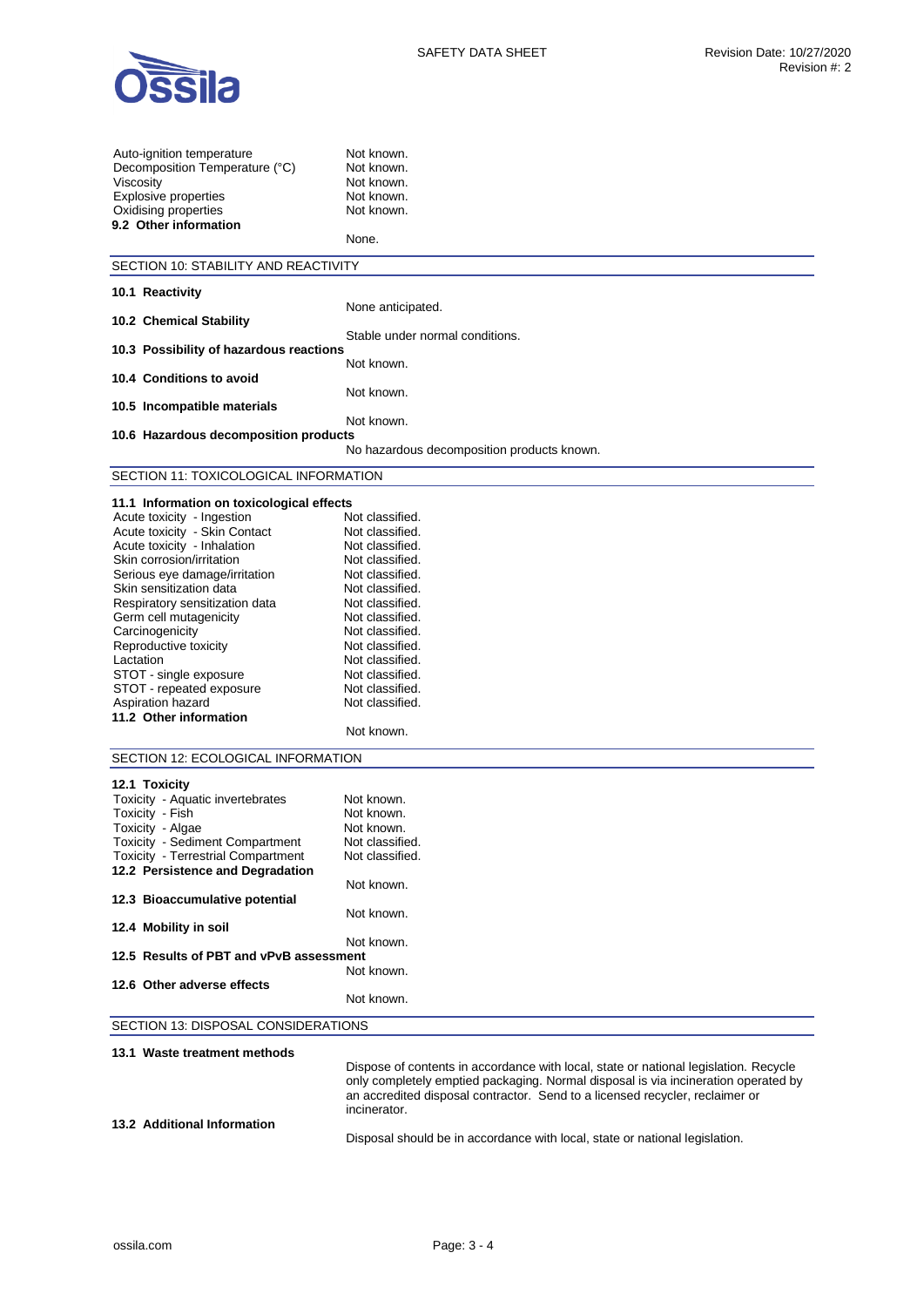

| Auto-ignition temperature<br>Decomposition Temperature (°C)<br>Viscosity<br><b>Explosive properties</b><br>Oxidising properties<br>9.2 Other information | Not known.<br>Not known.<br>Not known.<br>Not known.<br>Not known.<br>None.          |
|----------------------------------------------------------------------------------------------------------------------------------------------------------|--------------------------------------------------------------------------------------|
| SECTION 10: STABILITY AND REACTIVITY                                                                                                                     |                                                                                      |
| 10.1 Reactivity                                                                                                                                          |                                                                                      |
| 10.2 Chemical Stability                                                                                                                                  | None anticipated.                                                                    |
|                                                                                                                                                          | Stable under normal conditions.                                                      |
| 10.3 Possibility of hazardous reactions                                                                                                                  |                                                                                      |
| 10.4 Conditions to avoid                                                                                                                                 | Not known.                                                                           |
|                                                                                                                                                          | Not known.                                                                           |
| 10.5 Incompatible materials                                                                                                                              |                                                                                      |
|                                                                                                                                                          | Not known.                                                                           |
| 10.6 Hazardous decomposition products                                                                                                                    |                                                                                      |
|                                                                                                                                                          | No hazardous decomposition products known.                                           |
| SECTION 11: TOXICOLOGICAL INFORMATION                                                                                                                    |                                                                                      |
| 11.1 Information on toxicological effects                                                                                                                |                                                                                      |
| Acute toxicity - Ingestion                                                                                                                               | Not classified.                                                                      |
| Acute toxicity - Skin Contact                                                                                                                            | Not classified.                                                                      |
| Acute toxicity - Inhalation                                                                                                                              | Not classified.                                                                      |
| Skin corrosion/irritation                                                                                                                                | Not classified.                                                                      |
| Serious eye damage/irritation                                                                                                                            | Not classified.                                                                      |
| Skin sensitization data                                                                                                                                  | Not classified.                                                                      |
| Respiratory sensitization data                                                                                                                           | Not classified.                                                                      |
| Germ cell mutagenicity                                                                                                                                   | Not classified.                                                                      |
| Carcinogenicity                                                                                                                                          | Not classified.                                                                      |
| Reproductive toxicity                                                                                                                                    | Not classified.                                                                      |
| Lactation                                                                                                                                                | Not classified.                                                                      |
| STOT - single exposure                                                                                                                                   | Not classified.                                                                      |
| STOT - repeated exposure                                                                                                                                 | Not classified.                                                                      |
| Aspiration hazard<br>11.2 Other information                                                                                                              | Not classified.                                                                      |
|                                                                                                                                                          | Not known.                                                                           |
|                                                                                                                                                          |                                                                                      |
| SECTION 12: ECOLOGICAL INFORMATION                                                                                                                       |                                                                                      |
|                                                                                                                                                          |                                                                                      |
| 12.1 Toxicity<br>Toxicity - Aquatic invertebrates                                                                                                        | Not known.                                                                           |
| Toxicity - Fish                                                                                                                                          | Not known.                                                                           |
| Toxicity - Algae                                                                                                                                         | Not known.                                                                           |
| Toxicity - Sediment Compartment                                                                                                                          | Not classified.                                                                      |
| <b>Toxicity - Terrestrial Compartment</b>                                                                                                                | Not classified.                                                                      |
| 12.2 Persistence and Degradation                                                                                                                         |                                                                                      |
|                                                                                                                                                          | Not known.                                                                           |
| 12.3 Bioaccumulative potential                                                                                                                           |                                                                                      |
|                                                                                                                                                          | Not known.                                                                           |
| 12.4 Mobility in soil                                                                                                                                    |                                                                                      |
| 12.5 Results of PBT and vPvB assessment                                                                                                                  | Not known.                                                                           |
|                                                                                                                                                          | Not known.                                                                           |
| 12.6 Other adverse effects                                                                                                                               |                                                                                      |
|                                                                                                                                                          | Not known.                                                                           |
|                                                                                                                                                          |                                                                                      |
| SECTION 13: DISPOSAL CONSIDERATIONS                                                                                                                      |                                                                                      |
| 13.1 Waste treatment methods                                                                                                                             |                                                                                      |
|                                                                                                                                                          | Dispose of contents in accordance with local, state or national legislation. Recycle |
|                                                                                                                                                          | only completely emptied packaging. Normal disposal is via incineration operated by   |
|                                                                                                                                                          | an accredited disposal contractor. Send to a licensed recycler, reclaimer or         |

Disposal should be in accordance with local, state or national legislation.

incinerator.